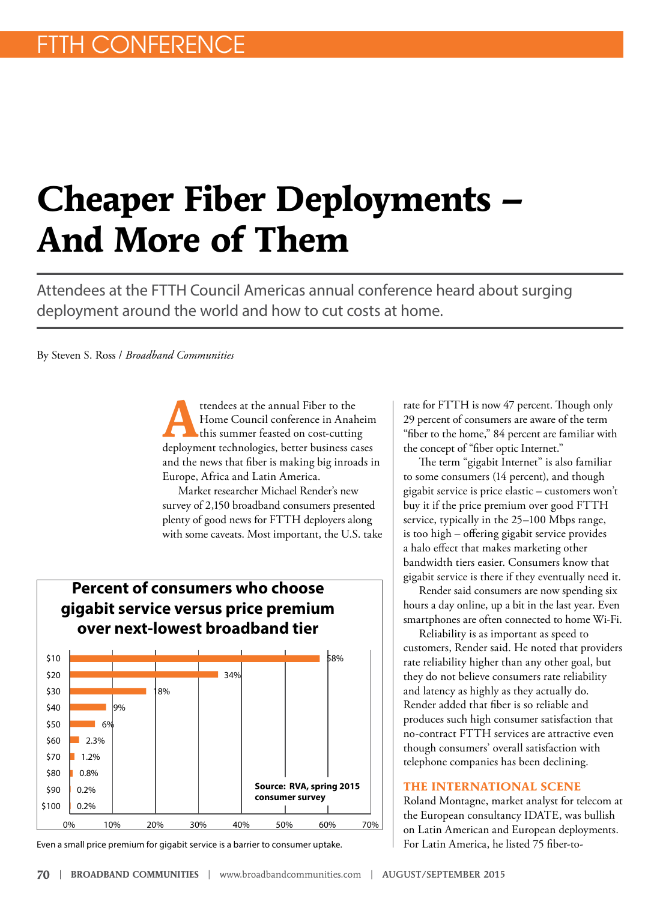# **Cheaper Fiber Deployments – And More of Them**

Attendees at the FTTH Council Americas annual conference heard about surging deployment around the world and how to cut costs at home.

By Steven S. Ross / *Broadband Communities*

ttendees at the annual Fiber to the<br>
Home Council conference in Anahe<br>
this summer feasted on cost-cutting<br>
deployment technologies hetter business Home Council conference in Anaheim deployment technologies, better business cases and the news that fiber is making big inroads in Europe, Africa and Latin America.

Market researcher Michael Render's new survey of 2,150 broadband consumers presented plenty of good news for FTTH deployers along with some caveats. Most important, the U.S. take



Even a small price premium for gigabit service is a barrier to consumer uptake.

rate for FTTH is now 47 percent. Though only 29 percent of consumers are aware of the term "fiber to the home," 84 percent are familiar with the concept of "fiber optic Internet."

The term "gigabit Internet" is also familiar to some consumers (14 percent), and though gigabit service is price elastic – customers won't buy it if the price premium over good FTTH service, typically in the 25–100 Mbps range, is too high – offering gigabit service provides a halo effect that makes marketing other bandwidth tiers easier. Consumers know that gigabit service is there if they eventually need it.

Render said consumers are now spending six hours a day online, up a bit in the last year. Even smartphones are often connected to home Wi-Fi.

Reliability is as important as speed to customers, Render said. He noted that providers rate reliability higher than any other goal, but they do not believe consumers rate reliability and latency as highly as they actually do. Render added that fiber is so reliable and produces such high consumer satisfaction that no-contract FTTH services are attractive even though consumers' overall satisfaction with telephone companies has been declining.

#### **THE INTERNATIONAL SCENE**

Roland Montagne, market analyst for telecom at the European consultancy IDATE, was bullish on Latin American and European deployments. For Latin America, he listed 75 fiber-to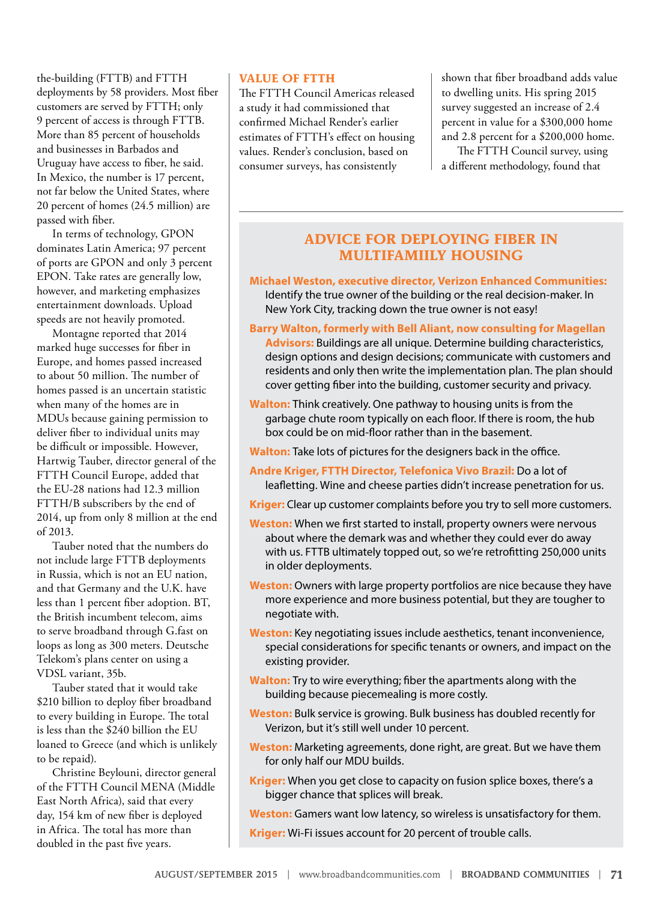the-building (FTTB) and FTTH deployments by 58 providers. Most fiber customers are served by FTTH; only 9 percent of access is through FTTB. More than 85 percent of households and businesses in Barbados and Uruguay have access to fiber, he said. In Mexico, the number is 17 percent, not far below the United States, where 20 percent of homes (24.5 million) are passed with fiber.

In terms of technology, GPON dominates Latin America; 97 percent of ports are GPON and only 3 percent EPON. Take rates are generally low, however, and marketing emphasizes entertainment downloads. Upload speeds are not heavily promoted.

Montagne reported that 2014 marked huge successes for fiber in Europe, and homes passed increased to about 50 million. The number of homes passed is an uncertain statistic when many of the homes are in MDUs because gaining permission to deliver fiber to individual units may be difficult or impossible. However, Hartwig Tauber, director general of the FTTH Council Europe, added that the EU-28 nations had 12.3 million FTTH/B subscribers by the end of 2014, up from only 8 million at the end of 2013.

Tauber noted that the numbers do not include large FTTB deployments in Russia, which is not an EU nation, and that Germany and the U.K. have less than 1 percent fiber adoption. BT, the British incumbent telecom, aims to serve broadband through G.fast on loops as long as 300 meters. Deutsche Telekom's plans center on using a VDSL variant, 35b.

Tauber stated that it would take \$210 billion to deploy fiber broadband to every building in Europe. The total is less than the \$240 billion the EU loaned to Greece (and which is unlikely to be repaid).

Christine Beylouni, director general of the FTTH Council MENA (Middle East North Africa), said that every day, 154 km of new fiber is deployed in Africa. The total has more than doubled in the past five years.

#### **VALUE OF FTTH**

The FTTH Council Americas released a study it had commissioned that confirmed Michael Render's earlier estimates of FTTH's effect on housing values. Render's conclusion, based on consumer surveys, has consistently

shown that fiber broadband adds value to dwelling units. His spring 2015 survey suggested an increase of 2.4 percent in value for a \$300,000 home and 2.8 percent for a \$200,000 home. The FTTH Council survey, using

a different methodology, found that

#### **ADVICE FOR DEPLOYING FIBER IN MULTIFAMIILY HOUSING**

- **Michael Weston, executive director, Verizon Enhanced Communities:** Identify the true owner of the building or the real decision-maker. In New York City, tracking down the true owner is not easy!
- **Barry Walton, formerly with Bell Aliant, now consulting for Magellan Advisors:** Buildings are all unique. Determine building characteristics, design options and design decisions; communicate with customers and residents and only then write the implementation plan. The plan should cover getting fiber into the building, customer security and privacy.
- **Walton:** Think creatively. One pathway to housing units is from the garbage chute room typically on each floor. If there is room, the hub box could be on mid-floor rather than in the basement.
- **Walton:** Take lots of pictures for the designers back in the office.
- **Andre Kriger, FTTH Director, Telefonica Vivo Brazil:** Do a lot of leafletting. Wine and cheese parties didn't increase penetration for us.
- **Kriger:** Clear up customer complaints before you try to sell more customers.
- **Weston:** When we first started to install, property owners were nervous about where the demark was and whether they could ever do away with us. FTTB ultimately topped out, so we're retrofitting 250,000 units in older deployments.
- **Weston:** Owners with large property portfolios are nice because they have more experience and more business potential, but they are tougher to negotiate with.
- **Weston:** Key negotiating issues include aesthetics, tenant inconvenience, special considerations for specific tenants or owners, and impact on the existing provider.
- **Walton:** Try to wire everything; fiber the apartments along with the building because piecemealing is more costly.
- **Weston:** Bulk service is growing. Bulk business has doubled recently for Verizon, but it's still well under 10 percent.
- **Weston:** Marketing agreements, done right, are great. But we have them for only half our MDU builds.
- **Kriger:** When you get close to capacity on fusion splice boxes, there's a bigger chance that splices will break.

**Weston:** Gamers want low latency, so wireless is unsatisfactory for them.

**Kriger:** Wi-Fi issues account for 20 percent of trouble calls.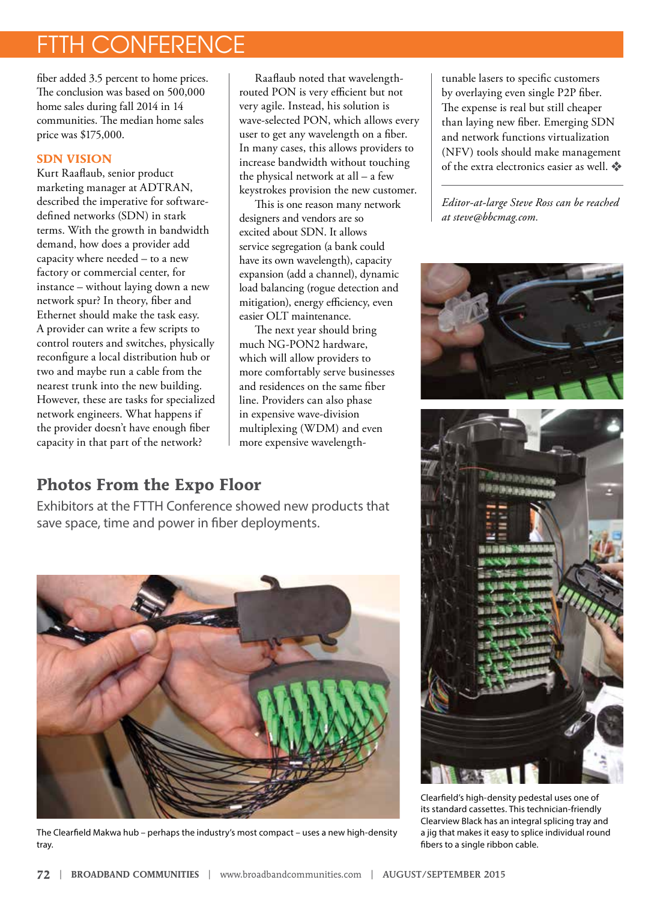## TH CONFERENCE

fiber added 3.5 percent to home prices. The conclusion was based on 500,000 home sales during fall 2014 in 14 communities. The median home sales price was \$175,000.

#### **SDN VISION**

Kurt Raaflaub, senior product marketing manager at ADTRAN, described the imperative for softwaredefined networks (SDN) in stark terms. With the growth in bandwidth demand, how does a provider add capacity where needed – to a new factory or commercial center, for instance – without laying down a new network spur? In theory, fiber and Ethernet should make the task easy. A provider can write a few scripts to control routers and switches, physically reconfigure a local distribution hub or two and maybe run a cable from the nearest trunk into the new building. However, these are tasks for specialized network engineers. What happens if the provider doesn't have enough fiber capacity in that part of the network?

Raaflaub noted that wavelengthrouted PON is very efficient but not very agile. Instead, his solution is wave-selected PON, which allows every user to get any wavelength on a fiber. In many cases, this allows providers to increase bandwidth without touching the physical network at all – a few keystrokes provision the new customer.

This is one reason many network designers and vendors are so excited about SDN. It allows service segregation (a bank could have its own wavelength), capacity expansion (add a channel), dynamic load balancing (rogue detection and mitigation), energy efficiency, even easier OLT maintenance.

The next year should bring much NG-PON2 hardware, which will allow providers to more comfortably serve businesses and residences on the same fiber line. Providers can also phase in expensive wave-division multiplexing (WDM) and even more expensive wavelength-

### **Photos From the Expo Floor**

Exhibitors at the FTTH Conference showed new products that save space, time and power in fiber deployments.



The Clearfield Makwa hub – perhaps the industry's most compact – uses a new high-density tray.

tunable lasers to specific customers by overlaying even single P2P fiber. The expense is real but still cheaper than laying new fiber. Emerging SDN and network functions virtualization (NFV) tools should make management of the extra electronics easier as well.

*Editor-at-large Steve Ross can be reached at steve@bbcmag.com.*





Clearfield's high-density pedestal uses one of its standard cassettes. This technician-friendly Clearview Black has an integral splicing tray and a jig that makes it easy to splice individual round fibers to a single ribbon cable.